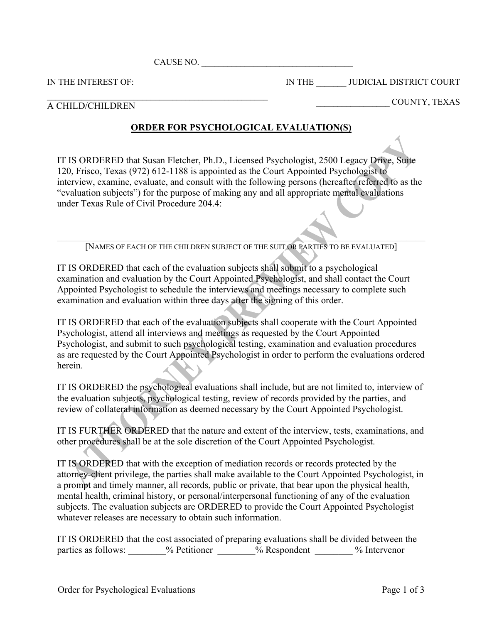CAUSE NO.

 $\mathcal{L}_\text{max}$  and the contract of the contract of the contract of the contract of the contract of the contract of the contract of the contract of the contract of the contract of the contract of the contract of the contrac

IN THE INTEREST OF:

IN THE \_\_\_\_\_\_\_ JUDICIAL DISTRICT COURT

## A CHILD/CHILDREN

## \_\_\_\_\_\_\_\_\_\_\_\_\_\_\_\_\_ COUNTY, TEXAS

## **ORDER FOR PSYCHOLOGICAL EVALUATION(S)**

IT IS ORDERED that Susan Fletcher, Ph.D., Licensed Psychologist, 2500 Legacy Drive, Suite 120, Frisco, Texas (972) 612-1188 is appointed as the Court Appointed Psychologist to interview, examine, evaluate, and consult with the following persons (hereafter referred to as the "evaluation subjects") for the purpose of making any and all appropriate mental evaluations under Texas Rule of Civil Procedure 204.4:

 $\mathcal{L} = \mathcal{L} \mathcal{L} = \mathcal{L} \mathcal{L} = \mathcal{L} \mathcal{L} = \mathcal{L} \mathcal{L} = \mathcal{L} \mathcal{L} = \mathcal{L} \mathcal{L} = \mathcal{L} \mathcal{L} = \mathcal{L} \mathcal{L} = \mathcal{L} \mathcal{L} = \mathcal{L} \mathcal{L} = \mathcal{L} \mathcal{L} = \mathcal{L} \mathcal{L} = \mathcal{L} \mathcal{L} = \mathcal{L} \mathcal{L} = \mathcal{L} \mathcal{L} = \mathcal{L} \mathcal{L} = \mathcal{L$ [NAMES OF EACH OF THE CHILDREN SUBJECT OF THE SUIT OR PARTIES TO BE EVALUATED]

IT IS ORDERED that each of the evaluation subjects shall submit to a psychological examination and evaluation by the Court Appointed Psychologist, and shall contact the Court Appointed Psychologist to schedule the interviews and meetings necessary to complete such examination and evaluation within three days after the signing of this order.

IT IS ORDERED that each of the evaluation subjects shall cooperate with the Court Appointed Psychologist, attend all interviews and meetings as requested by the Court Appointed Psychologist, and submit to such psychological testing, examination and evaluation procedures as are requested by the Court Appointed Psychologist in order to perform the evaluations ordered herein.

IT IS ORDERED the psychological evaluations shall include, but are not limited to, interview of the evaluation subjects, psychological testing, review of records provided by the parties, and review of collateral information as deemed necessary by the Court Appointed Psychologist.

IT IS FURTHER ORDERED that the nature and extent of the interview, tests, examinations, and other procedures shall be at the sole discretion of the Court Appointed Psychologist.

IT IS ORDERED that with the exception of mediation records or records protected by the attorney-client privilege, the parties shall make available to the Court Appointed Psychologist, in a prompt and timely manner, all records, public or private, that bear upon the physical health, mental health, criminal history, or personal/interpersonal functioning of any of the evaluation subjects. The evaluation subjects are ORDERED to provide the Court Appointed Psychologist whatever releases are necessary to obtain such information.

IT IS ORDERED that the cost associated of preparing evaluations shall be divided between the parties as follows: \_\_\_\_\_\_\_% Petitioner \_\_\_\_\_\_% Respondent \_\_\_\_\_\_\_% Intervenor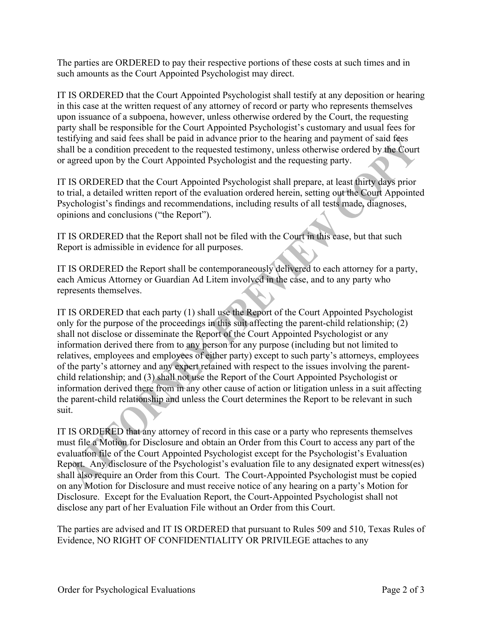The parties are ORDERED to pay their respective portions of these costs at such times and in such amounts as the Court Appointed Psychologist may direct.

IT IS ORDERED that the Court Appointed Psychologist shall testify at any deposition or hearing in this case at the written request of any attorney of record or party who represents themselves upon issuance of a subpoena, however, unless otherwise ordered by the Court, the requesting party shall be responsible for the Court Appointed Psychologist's customary and usual fees for testifying and said fees shall be paid in advance prior to the hearing and payment of said fees shall be a condition precedent to the requested testimony, unless otherwise ordered by the Court or agreed upon by the Court Appointed Psychologist and the requesting party.

IT IS ORDERED that the Court Appointed Psychologist shall prepare, at least thirty days prior to trial, a detailed written report of the evaluation ordered herein, setting out the Court Appointed Psychologist's findings and recommendations, including results of all tests made, diagnoses, opinions and conclusions ("the Report").

IT IS ORDERED that the Report shall not be filed with the Court in this case, but that such Report is admissible in evidence for all purposes.

IT IS ORDERED the Report shall be contemporaneously delivered to each attorney for a party, each Amicus Attorney or Guardian Ad Litem involved in the case, and to any party who represents themselves.

IT IS ORDERED that each party (1) shall use the Report of the Court Appointed Psychologist only for the purpose of the proceedings in this suit affecting the parent-child relationship; (2) shall not disclose or disseminate the Report of the Court Appointed Psychologist or any information derived there from to any person for any purpose (including but not limited to relatives, employees and employees of either party) except to such party's attorneys, employees of the party's attorney and any expert retained with respect to the issues involving the parentchild relationship; and (3) shall not use the Report of the Court Appointed Psychologist or information derived there from in any other cause of action or litigation unless in a suit affecting the parent-child relationship and unless the Court determines the Report to be relevant in such suit.

IT IS ORDERED that any attorney of record in this case or a party who represents themselves must file a Motion for Disclosure and obtain an Order from this Court to access any part of the evaluation file of the Court Appointed Psychologist except for the Psychologist's Evaluation Report. Any disclosure of the Psychologist's evaluation file to any designated expert witness(es) shall also require an Order from this Court. The Court-Appointed Psychologist must be copied on any Motion for Disclosure and must receive notice of any hearing on a party's Motion for Disclosure. Except for the Evaluation Report, the Court-Appointed Psychologist shall not disclose any part of her Evaluation File without an Order from this Court.

The parties are advised and IT IS ORDERED that pursuant to Rules 509 and 510, Texas Rules of Evidence, NO RIGHT OF CONFIDENTIALITY OR PRIVILEGE attaches to any